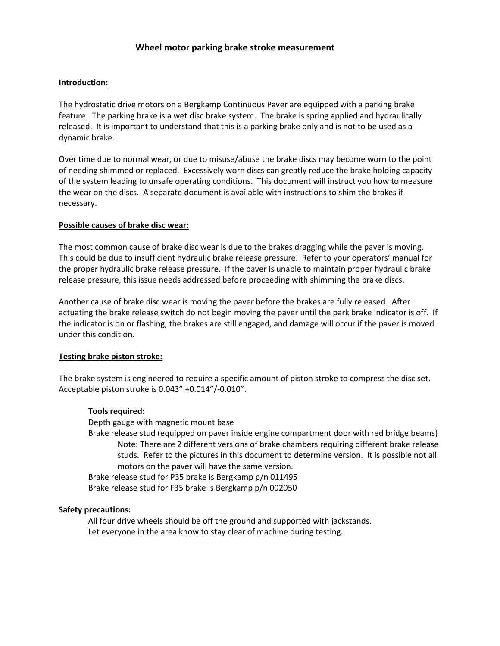# **Introduction:**

The hydrostatic drive motors on a Bergkamp Continuous Paver are equipped with a parking brake feature. The parking brake is a wet disc brake system. The brake is spring applied and hydraulically released. It is important to understand that this is a parking brake only and is not to be used as a dynamic brake.

Over time due to normal wear, or due to misuse/abuse the brake discs may become worn to the point of needing shimmed or replaced. Excessively worn discs can greatly reduce the brake holding capacity of the system leading to unsafe operating conditions. This document will instruct you how to measure the wear on the discs. A separate document is available with instructions to shim the brakes if necessary.

## **Possible causes of brake disc wear:**

The most common cause of brake disc wear is due to the brakes dragging while the paver is moving. This could be due to insufficient hydraulic brake release pressure. Refer to your operators' manual for the proper hydraulic brake release pressure. If the paver is unable to maintain proper hydraulic brake release pressure, this issue needs addressed before proceeding with shimming the brake discs.

Another cause of brake disc wear is moving the paver before the brakes are fully released. After actuating the brake release switch do not begin moving the paver until the park brake indicator is off. If the indicator is on or flashing, the brakes are still engaged, and damage will occur if the paver is moved under this condition.

# **Testing brake piston stroke:**

The brake system is engineered to require a specific amount of piston stroke to compress the disc set. Acceptable piston stroke is 0.043" +0.014"/-0.010".

# **Tools required:**

Depth gauge with magnetic mount base Brake release stud (equipped on paver inside engine compartment door with red bridge beams) Note: There are 2 different versions of brake chambers requiring different brake release studs. Refer to the pictures in this document to determine version. It is possible not all motors on the paver will have the same version. Brake release stud for P35 brake is Bergkamp p/n 011495 Brake release stud for F35 brake is Bergkamp p/n 002050

# **Safety precautions:**

All four drive wheels should be off the ground and supported with jackstands. Let everyone in the area know to stay clear of machine during testing.